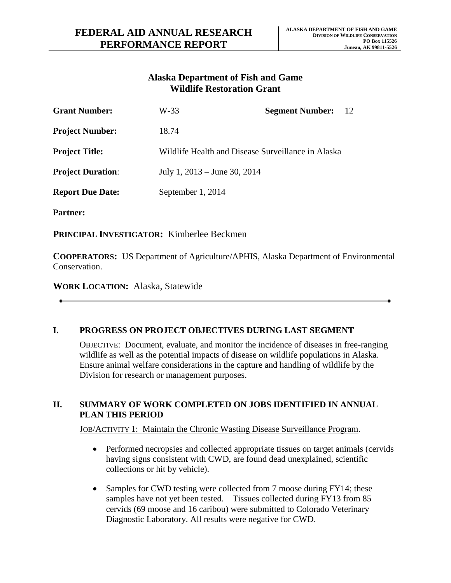# **Alaska Department of Fish and Game Wildlife Restoration Grant**

| <b>Grant Number:</b>     | W-33                                               | <b>Segment Number:</b> | 12 |
|--------------------------|----------------------------------------------------|------------------------|----|
| <b>Project Number:</b>   | 18.74                                              |                        |    |
| <b>Project Title:</b>    | Wildlife Health and Disease Surveillance in Alaska |                        |    |
| <b>Project Duration:</b> | July 1, $2013 -$ June 30, $2014$                   |                        |    |
| <b>Report Due Date:</b>  | September 1, 2014                                  |                        |    |
|                          |                                                    |                        |    |

**Partner:**

**PRINCIPAL INVESTIGATOR:** Kimberlee Beckmen

**COOPERATORS:** US Department of Agriculture/APHIS, Alaska Department of Environmental Conservation.

**WORK LOCATION:** Alaska, Statewide

## **I. PROGRESS ON PROJECT OBJECTIVES DURING LAST SEGMENT**

OBJECTIVE: Document, evaluate, and monitor the incidence of diseases in free-ranging wildlife as well as the potential impacts of disease on wildlife populations in Alaska. Ensure animal welfare considerations in the capture and handling of wildlife by the Division for research or management purposes.

#### **II. SUMMARY OF WORK COMPLETED ON JOBS IDENTIFIED IN ANNUAL PLAN THIS PERIOD**

JOB/ACTIVITY 1: Maintain the Chronic Wasting Disease Surveillance Program.

- Performed necropsies and collected appropriate tissues on target animals (cervids having signs consistent with CWD, are found dead unexplained, scientific collections or hit by vehicle).
- Samples for CWD testing were collected from 7 moose during FY14; these samples have not yet been tested. Tissues collected during FY13 from 85 cervids (69 moose and 16 caribou) were submitted to Colorado Veterinary Diagnostic Laboratory. All results were negative for CWD.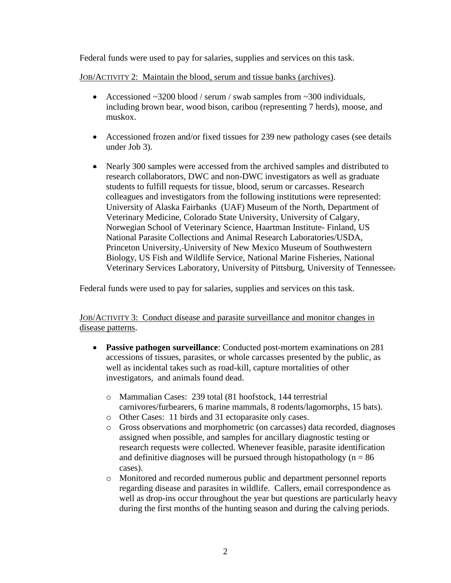Federal funds were used to pay for salaries, supplies and services on this task.

JOB/ACTIVITY 2: Maintain the blood, serum and tissue banks (archives).

- Accessioned  $\sim$  3200 blood / serum / swab samples from  $\sim$  300 individuals, including brown bear, wood bison, caribou (representing 7 herds), moose, and muskox.
- Accessioned frozen and/or fixed tissues for 239 new pathology cases (see details under Job 3).
- Nearly 300 samples were accessed from the archived samples and distributed to research collaborators, DWC and non-DWC investigators as well as graduate students to fulfill requests for tissue, blood, serum or carcasses. Research colleagues and investigators from the following institutions were represented: University of Alaska Fairbanks (UAF) Museum of the North, Department of Veterinary Medicine, Colorado State University, University of Calgary, Norwegian School of Veterinary Science, Haartman Institute- Finland, US National Parasite Collections and Animal Research Laboratories/USDA, Princeton University, University of New Mexico Museum of Southwestern Biology, US Fish and Wildlife Service, National Marine Fisheries, National Veterinary Services Laboratory, University of Pittsburg, University of Tennessee.

Federal funds were used to pay for salaries, supplies and services on this task.

JOB/ACTIVITY 3: Conduct disease and parasite surveillance and monitor changes in disease patterns.

- **Passive pathogen surveillance**: Conducted post-mortem examinations on 281 accessions of tissues, parasites, or whole carcasses presented by the public, as well as incidental takes such as road-kill, capture mortalities of other investigators, and animals found dead.
	- o Mammalian Cases: 239 total (81 hoofstock, 144 terrestrial carnivores/furbearers, 6 marine mammals, 8 rodents/lagomorphs, 15 bats).
	- o Other Cases: 11 birds and 31 ectoparasite only cases.
	- o Gross observations and morphometric (on carcasses) data recorded, diagnoses assigned when possible, and samples for ancillary diagnostic testing or research requests were collected. Whenever feasible, parasite identification and definitive diagnoses will be pursued through histopathology ( $n = 86$ ) cases).
	- o Monitored and recorded numerous public and department personnel reports regarding disease and parasites in wildlife. Callers, email correspondence as well as drop-ins occur throughout the year but questions are particularly heavy during the first months of the hunting season and during the calving periods.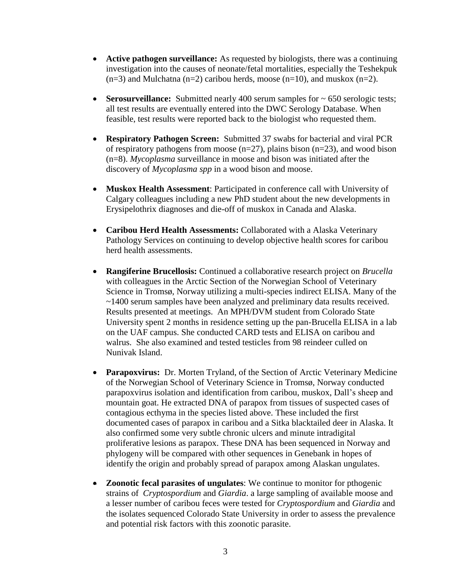- **Active pathogen surveillance:** As requested by biologists, there was a continuing investigation into the causes of neonate/fetal mortalities, especially the Teshekpuk  $(n=3)$  and Mulchatna  $(n=2)$  caribou herds, moose  $(n=10)$ , and muskox  $(n=2)$ .
- **Serosurveillance:** Submitted nearly 400 serum samples for  $\sim$  650 serologic tests; all test results are eventually entered into the DWC Serology Database. When feasible, test results were reported back to the biologist who requested them.
- **Respiratory Pathogen Screen:** Submitted 37 swabs for bacterial and viral PCR of respiratory pathogens from moose  $(n=27)$ , plains bison  $(n=23)$ , and wood bison (n=8). *Mycoplasma* surveillance in moose and bison was initiated after the discovery of *Mycoplasma spp* in a wood bison and moose.
- **Muskox Health Assessment**: Participated in conference call with University of Calgary colleagues including a new PhD student about the new developments in Erysipelothrix diagnoses and die-off of muskox in Canada and Alaska.
- **Caribou Herd Health Assessments:** Collaborated with a Alaska Veterinary Pathology Services on continuing to develop objective health scores for caribou herd health assessments.
- **Rangiferine Brucellosis:** Continued a collaborative research project on *Brucella* with colleagues in the Arctic Section of the Norwegian School of Veterinary Science in Tromsø, Norway utilizing a multi-species indirect ELISA. Many of the ~1400 serum samples have been analyzed and preliminary data results received. Results presented at meetings. An MPH/DVM student from Colorado State University spent 2 months in residence setting up the pan-Brucella ELISA in a lab on the UAF campus. She conducted CARD tests and ELISA on caribou and walrus. She also examined and tested testicles from 98 reindeer culled on Nunivak Island.
- **Parapoxvirus:** Dr. Morten Tryland, of the Section of Arctic Veterinary Medicine of the Norwegian School of Veterinary Science in Tromsø, Norway conducted parapoxvirus isolation and identification from caribou, muskox, Dall's sheep and mountain goat. He extracted DNA of parapox from tissues of suspected cases of contagious ecthyma in the species listed above. These included the first documented cases of parapox in caribou and a Sitka blacktailed deer in Alaska. It also confirmed some very subtle chronic ulcers and minute intradigital proliferative lesions as parapox. These DNA has been sequenced in Norway and phylogeny will be compared with other sequences in Genebank in hopes of identify the origin and probably spread of parapox among Alaskan ungulates.
- **Zoonotic fecal parasites of ungulates**: We continue to monitor for pthogenic strains of *Cryptospordium* and *Giardia*. a large sampling of available moose and a lesser number of caribou feces were tested for *Cryptospordium* and *Giardia* and the isolates sequenced Colorado State University in order to assess the prevalence and potential risk factors with this zoonotic parasite.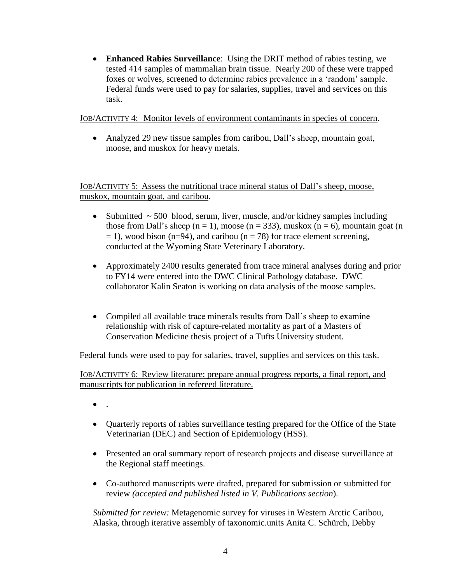**Enhanced Rabies Surveillance**: Using the DRIT method of rabies testing, we tested 414 samples of mammalian brain tissue. Nearly 200 of these were trapped foxes or wolves, screened to determine rabies prevalence in a 'random' sample. Federal funds were used to pay for salaries, supplies, travel and services on this task.

#### JOB/ACTIVITY 4: Monitor levels of environment contaminants in species of concern.

 Analyzed 29 new tissue samples from caribou, Dall's sheep, mountain goat, moose, and muskox for heavy metals.

JOB/ACTIVITY 5: Assess the nutritional trace mineral status of Dall's sheep, moose, muskox, mountain goat, and caribou.

- Submitted  $\sim$  500 blood, serum, liver, muscle, and/or kidney samples including those from Dall's sheep ( $n = 1$ ), moose ( $n = 333$ ), muskox ( $n = 6$ ), mountain goat (n  $= 1$ ), wood bison (n=94), and caribou (n = 78) for trace element screening, conducted at the Wyoming State Veterinary Laboratory.
- Approximately 2400 results generated from trace mineral analyses during and prior to FY14 were entered into the DWC Clinical Pathology database. DWC collaborator Kalin Seaton is working on data analysis of the moose samples.
- Compiled all available trace minerals results from Dall's sheep to examine relationship with risk of capture-related mortality as part of a Masters of Conservation Medicine thesis project of a Tufts University student.

Federal funds were used to pay for salaries, travel, supplies and services on this task.

JOB/ACTIVITY 6: Review literature; prepare annual progress reports, a final report, and manuscripts for publication in refereed literature.

- .
- Quarterly reports of rabies surveillance testing prepared for the Office of the State Veterinarian (DEC) and Section of Epidemiology (HSS).
- Presented an oral summary report of research projects and disease surveillance at the Regional staff meetings.
- Co-authored manuscripts were drafted, prepared for submission or submitted for review *(accepted and published listed in V. Publications section*).

*Submitted for review:* Metagenomic survey for viruses in Western Arctic Caribou, Alaska, through iterative assembly of taxonomic.units Anita C. Schürch, Debby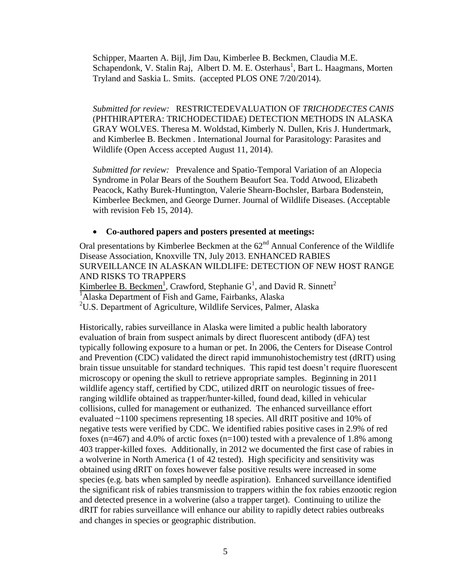Schipper, Maarten A. Bijl, Jim Dau, Kimberlee B. Beckmen, Claudia M.E. Schapendonk, V. Stalin Raj, Albert D. M. E. Osterhaus<sup>1</sup>, Bart L. Haagmans, Morten Tryland and Saskia L. Smits. (accepted PLOS ONE 7/20/2014).

*Submitted for review:* RESTRICTEDEVALUATION OF *TRICHODECTES CANIS* (PHTHIRAPTERA: TRICHODECTIDAE) DETECTION METHODS IN ALASKA GRAY WOLVES. Theresa M. Woldstad, Kimberly N. Dullen, Kris J. Hundertmark, and Kimberlee B. Beckmen . International Journal for Parasitology: Parasites and Wildlife (Open Access accepted August 11, 2014).

*Submitted for review:* Prevalence and Spatio-Temporal Variation of an Alopecia Syndrome in Polar Bears of the Southern Beaufort Sea. Todd Atwood, Elizabeth Peacock, Kathy Burek-Huntington, Valerie Shearn-Bochsler, Barbara Bodenstein, Kimberlee Beckmen, and George Durner. Journal of Wildlife Diseases. (Acceptable with revision Feb 15, 2014).

#### **Co-authored papers and posters presented at meetings:**

Oral presentations by Kimberlee Beckmen at the  $62<sup>nd</sup>$  Annual Conference of the Wildlife Disease Association, Knoxville TN, July 2013. ENHANCED RABIES SURVEILLANCE IN ALASKAN WILDLIFE: DETECTION OF NEW HOST RANGE AND RISKS TO TRAPPERS Kimberlee B. Beckmen<sup>1</sup>, Crawford, Stephanie  $G^1$ , and David R. Sinnett<sup>2</sup>

 $1$ Alaska Department of Fish and Game, Fairbanks, Alaska

<sup>2</sup>U.S. Department of Agriculture, Wildlife Services, Palmer, Alaska

Historically, rabies surveillance in Alaska were limited a public health laboratory evaluation of brain from suspect animals by direct fluorescent antibody (dFA) test typically following exposure to a human or pet. In 2006, the Centers for Disease Control and Prevention (CDC) validated the direct rapid immunohistochemistry test (dRIT) using brain tissue unsuitable for standard techniques. This rapid test doesn't require fluorescent microscopy or opening the skull to retrieve appropriate samples. Beginning in 2011 wildlife agency staff, certified by CDC, utilized dRIT on neurologic tissues of freeranging wildlife obtained as trapper/hunter-killed, found dead, killed in vehicular collisions, culled for management or euthanized. The enhanced surveillance effort evaluated ~1100 specimens representing 18 species. All dRIT positive and 10% of negative tests were verified by CDC. We identified rabies positive cases in 2.9% of red foxes ( $n=467$ ) and 4.0% of arctic foxes ( $n=100$ ) tested with a prevalence of 1.8% among 403 trapper-killed foxes. Additionally, in 2012 we documented the first case of rabies in a wolverine in North America (1 of 42 tested). High specificity and sensitivity was obtained using dRIT on foxes however false positive results were increased in some species (e.g. bats when sampled by needle aspiration). Enhanced surveillance identified the significant risk of rabies transmission to trappers within the fox rabies enzootic region and detected presence in a wolverine (also a trapper target). Continuing to utilize the dRIT for rabies surveillance will enhance our ability to rapidly detect rabies outbreaks and changes in species or geographic distribution.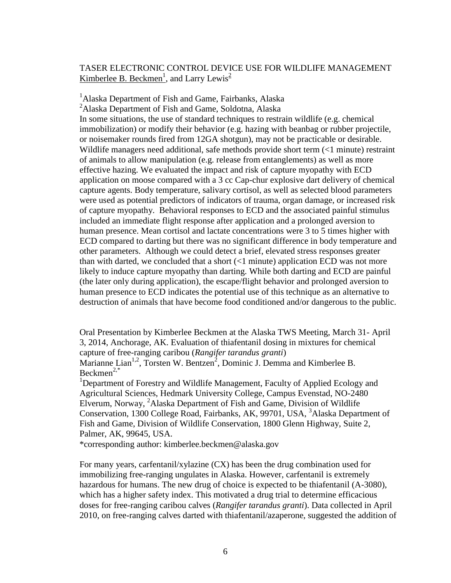#### TASER ELECTRONIC CONTROL DEVICE USE FOR WILDLIFE MANAGEMENT Kimberlee B. Beckmen<sup>1</sup>, and Larry Lewis<sup>2</sup>

<sup>1</sup>Alaska Department of Fish and Game, Fairbanks, Alaska

<sup>2</sup>Alaska Department of Fish and Game, Soldotna, Alaska In some situations, the use of standard techniques to restrain wildlife (e.g. chemical immobilization) or modify their behavior (e.g. hazing with beanbag or rubber projectile, or noisemaker rounds fired from 12GA shotgun), may not be practicable or desirable. Wildlife managers need additional, safe methods provide short term (<1 minute) restraint of animals to allow manipulation (e.g. release from entanglements) as well as more effective hazing. We evaluated the impact and risk of capture myopathy with ECD application on moose compared with a 3 cc Cap-chur explosive dart delivery of chemical capture agents. Body temperature, salivary cortisol, as well as selected blood parameters were used as potential predictors of indicators of trauma, organ damage, or increased risk of capture myopathy. Behavioral responses to ECD and the associated painful stimulus included an immediate flight response after application and a prolonged aversion to human presence. Mean cortisol and lactate concentrations were 3 to 5 times higher with ECD compared to darting but there was no significant difference in body temperature and other parameters. Although we could detect a brief, elevated stress responses greater than with darted, we concluded that a short  $\left($ <1 minute) application ECD was not more likely to induce capture myopathy than darting. While both darting and ECD are painful (the later only during application), the escape/flight behavior and prolonged aversion to human presence to ECD indicates the potential use of this technique as an alternative to destruction of animals that have become food conditioned and/or dangerous to the public.

Oral Presentation by Kimberlee Beckmen at the Alaska TWS Meeting, March 31- April 3, 2014, Anchorage, AK. Evaluation of thiafentanil dosing in mixtures for chemical capture of free-ranging caribou (*Rangifer tarandus granti*)

Marianne Lian<sup>1,2</sup>, Torsten W. Bentzen<sup>2</sup>, Dominic J. Demma and Kimberlee B. Beckmen $2,$ \*

<sup>1</sup>Department of Forestry and Wildlife Management, Faculty of Applied Ecology and Agricultural Sciences, Hedmark University College, Campus Evenstad, NO-2480 Elverum, Norway, <sup>2</sup>Alaska Department of Fish and Game, Division of Wildlife Conservation, 1300 College Road, Fairbanks, AK, 99701, USA, <sup>3</sup>Alaska Department of Fish and Game, Division of Wildlife Conservation, 1800 Glenn Highway, Suite 2, Palmer, AK, 99645, USA.

\*corresponding author: kimberlee.beckmen@alaska.gov

For many years, carfentanil/xylazine (CX) has been the drug combination used for immobilizing free-ranging ungulates in Alaska. However, carfentanil is extremely hazardous for humans. The new drug of choice is expected to be thiafentanil (A-3080), which has a higher safety index. This motivated a drug trial to determine efficacious doses for free-ranging caribou calves (*Rangifer tarandus granti*). Data collected in April 2010, on free-ranging calves darted with thiafentanil/azaperone, suggested the addition of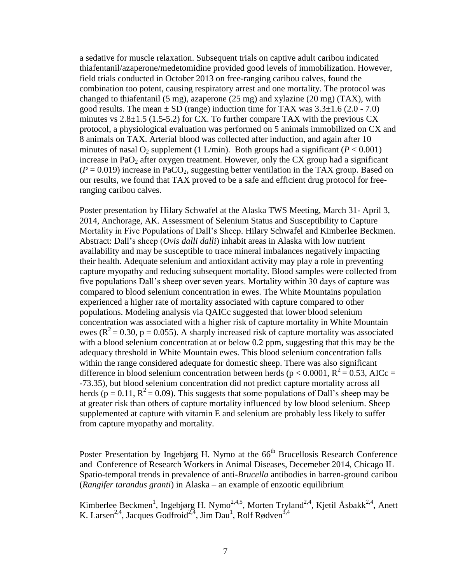a sedative for muscle relaxation. Subsequent trials on captive adult caribou indicated thiafentanil/azaperone/medetomidine provided good levels of immobilization. However, field trials conducted in October 2013 on free-ranging caribou calves, found the combination too potent, causing respiratory arrest and one mortality. The protocol was changed to thiafentanil (5 mg), azaperone (25 mg) and xylazine (20 mg) (TAX), with good results. The mean  $\pm$  SD (range) induction time for TAX was  $3.3\pm1.6$  (2.0 - 7.0) minutes vs  $2.8\pm1.5$  (1.5-5.2) for CX. To further compare TAX with the previous CX protocol, a physiological evaluation was performed on 5 animals immobilized on CX and 8 animals on TAX. Arterial blood was collected after induction, and again after 10 minutes of nasal  $O_2$  supplement (1 L/min). Both groups had a significant ( $P < 0.001$ ) increase in Pa $O_2$  after oxygen treatment. However, only the CX group had a significant  $(P = 0.019)$  increase in PaCO<sub>2</sub>, suggesting better ventilation in the TAX group. Based on our results, we found that TAX proved to be a safe and efficient drug protocol for freeranging caribou calves.

Poster presentation by Hilary Schwafel at the Alaska TWS Meeting, March 31- April 3, 2014, Anchorage, AK. Assessment of Selenium Status and Susceptibility to Capture Mortality in Five Populations of Dall's Sheep. Hilary Schwafel and Kimberlee Beckmen. Abstract: Dall's sheep (*Ovis dalli dalli*) inhabit areas in Alaska with low nutrient availability and may be susceptible to trace mineral imbalances negatively impacting their health. Adequate selenium and antioxidant activity may play a role in preventing capture myopathy and reducing subsequent mortality. Blood samples were collected from five populations Dall's sheep over seven years. Mortality within 30 days of capture was compared to blood selenium concentration in ewes. The White Mountains population experienced a higher rate of mortality associated with capture compared to other populations. Modeling analysis via QAICc suggested that lower blood selenium concentration was associated with a higher risk of capture mortality in White Mountain ewes ( $R^2$  = 0.30, p = 0.055). A sharply increased risk of capture mortality was associated with a blood selenium concentration at or below 0.2 ppm, suggesting that this may be the adequacy threshold in White Mountain ewes. This blood selenium concentration falls within the range considered adequate for domestic sheep. There was also significant difference in blood selenium concentration between herds ( $p < 0.0001$ ,  $R^2 = 0.53$ , AICc = -73.35), but blood selenium concentration did not predict capture mortality across all herds (p = 0.11,  $R^2$  = 0.09). This suggests that some populations of Dall's sheep may be at greater risk than others of capture mortality influenced by low blood selenium. Sheep supplemented at capture with vitamin E and selenium are probably less likely to suffer from capture myopathy and mortality.

Poster Presentation by Ingebjørg H. Nymo at the 66<sup>th</sup> Brucellosis Research Conference and Conference of Research Workers in Animal Diseases, Decemeber 2014, Chicago IL Spatio-temporal trends in prevalence of anti-*Brucella* antibodies in barren-ground caribou (*Rangifer tarandus granti*) in Alaska – an example of enzootic equilibrium

Kimberlee Beckmen<sup>1</sup>, Ingebjørg H. Nymo<sup>2,4,5</sup>, Morten Tryland<sup>2,4</sup>, Kjetil Åsbakk<sup>2,4</sup>, Anett K. Larsen<sup>2,4</sup>, Jacques Godfroid<sup>2,4</sup>, Jim Dau<sup>1</sup>, Rolf Rødven<sup>3,4</sup>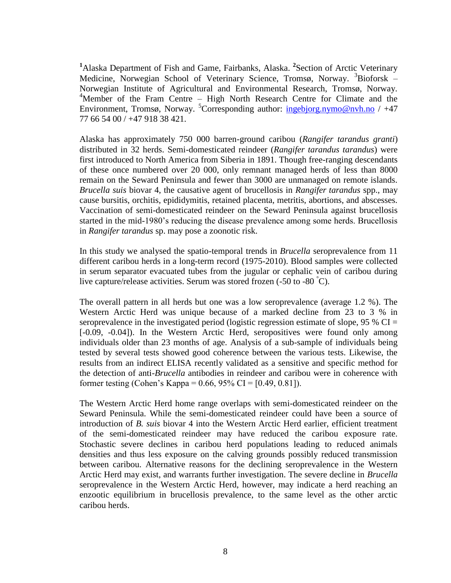<sup>1</sup>Alaska Department of Fish and Game, Fairbanks, Alaska. <sup>2</sup> Section of Arctic Veterinary Medicine, Norwegian School of Veterinary Science, Tromsø, Norway.  $3Bioforsk -$ Norwegian Institute of Agricultural and Environmental Research, Tromsø, Norway. <sup>4</sup>Member of the Fram Centre – High North Research Centre for Climate and the Environment, Tromsø, Norway. <sup>5</sup>Corresponding author:  $\frac{ingebig,nymo@nvh.no}{inge}$  / +47 77 66 54 00 / +47 918 38 421.

Alaska has approximately 750 000 barren-ground caribou (*Rangifer tarandus granti*) distributed in 32 herds. Semi-domesticated reindeer (*Rangifer tarandus tarandus*) were first introduced to North America from Siberia in 1891. Though free-ranging descendants of these once numbered over 20 000, only remnant managed herds of less than 8000 remain on the Seward Peninsula and fewer than 3000 are unmanaged on remote islands. *Brucella suis* biovar 4, the causative agent of brucellosis in *Rangifer tarandus* spp., may cause bursitis, orchitis, epididymitis, retained placenta, metritis, abortions, and abscesses. Vaccination of semi-domesticated reindeer on the Seward Peninsula against brucellosis started in the mid-1980's reducing the disease prevalence among some herds. Brucellosis in *Rangifer tarandus* sp. may pose a zoonotic risk.

In this study we analysed the spatio-temporal trends in *Brucella* seroprevalence from 11 different caribou herds in a long-term record (1975-2010). Blood samples were collected in serum separator evacuated tubes from the jugular or cephalic vein of caribou during live capture/release activities. Serum was stored frozen  $(-50 \text{ to } -80^\circ \text{C})$ .

The overall pattern in all herds but one was a low seroprevalence (average 1.2 %). The Western Arctic Herd was unique because of a marked decline from 23 to 3 % in seroprevalence in the investigated period (logistic regression estimate of slope,  $95\%$  CI = [-0.09, -0.04]). In the Western Arctic Herd, seropositives were found only among individuals older than 23 months of age. Analysis of a sub-sample of individuals being tested by several tests showed good coherence between the various tests. Likewise, the results from an indirect ELISA recently validated as a sensitive and specific method for the detection of anti-*Brucella* antibodies in reindeer and caribou were in coherence with former testing (Cohen's Kappa =  $0.66$ ,  $95\%$  CI = [0.49, 0.81]).

The Western Arctic Herd home range overlaps with semi-domesticated reindeer on the Seward Peninsula. While the semi-domesticated reindeer could have been a source of introduction of *B. suis* biovar 4 into the Western Arctic Herd earlier, efficient treatment of the semi-domesticated reindeer may have reduced the caribou exposure rate. Stochastic severe declines in caribou herd populations leading to reduced animals densities and thus less exposure on the calving grounds possibly reduced transmission between caribou. Alternative reasons for the declining seroprevalence in the Western Arctic Herd may exist, and warrants further investigation. The severe decline in *Brucella* seroprevalence in the Western Arctic Herd, however, may indicate a herd reaching an enzootic equilibrium in brucellosis prevalence, to the same level as the other arctic caribou herds.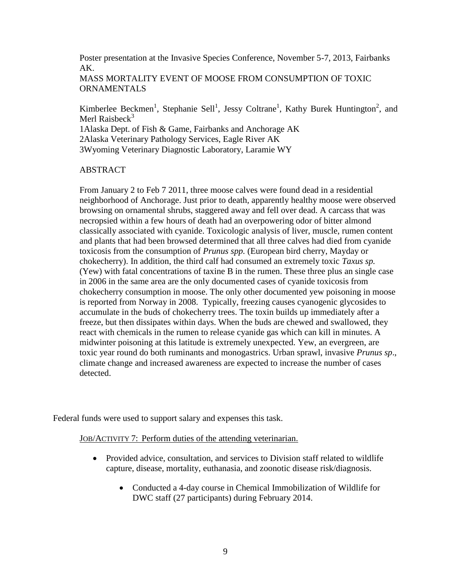Poster presentation at the Invasive Species Conference, November 5-7, 2013, Fairbanks AK.

MASS MORTALITY EVENT OF MOOSE FROM CONSUMPTION OF TOXIC ORNAMENTALS

Kimberlee Beckmen<sup>1</sup>, Stephanie Sell<sup>1</sup>, Jessy Coltrane<sup>1</sup>, Kathy Burek Huntington<sup>2</sup>, and Merl Raisbeck $3$ 

1Alaska Dept. of Fish & Game, Fairbanks and Anchorage AK 2Alaska Veterinary Pathology Services, Eagle River AK 3Wyoming Veterinary Diagnostic Laboratory, Laramie WY

## ABSTRACT

From January 2 to Feb 7 2011, three moose calves were found dead in a residential neighborhood of Anchorage. Just prior to death, apparently healthy moose were observed browsing on ornamental shrubs, staggered away and fell over dead. A carcass that was necropsied within a few hours of death had an overpowering odor of bitter almond classically associated with cyanide. Toxicologic analysis of liver, muscle, rumen content and plants that had been browsed determined that all three calves had died from cyanide toxicosis from the consumption of *Prunus spp.* (European bird cherry, Mayday or chokecherry). In addition, the third calf had consumed an extremely toxic *Taxus sp.* (Yew) with fatal concentrations of taxine B in the rumen. These three plus an single case in 2006 in the same area are the only documented cases of cyanide toxicosis from chokecherry consumption in moose. The only other documented yew poisoning in moose is reported from Norway in 2008. Typically, freezing causes cyanogenic glycosides to accumulate in the buds of chokecherry trees. The toxin builds up immediately after a freeze, but then dissipates within days. When the buds are chewed and swallowed, they react with chemicals in the rumen to release cyanide gas which can kill in minutes. A midwinter poisoning at this latitude is extremely unexpected. Yew, an evergreen, are toxic year round do both ruminants and monogastrics. Urban sprawl, invasive *Prunus sp*., climate change and increased awareness are expected to increase the number of cases detected.

Federal funds were used to support salary and expenses this task.

JOB/ACTIVITY 7: Perform duties of the attending veterinarian.

- Provided advice, consultation, and services to Division staff related to wildlife capture, disease, mortality, euthanasia, and zoonotic disease risk/diagnosis.
	- Conducted a 4-day course in Chemical Immobilization of Wildlife for DWC staff (27 participants) during February 2014.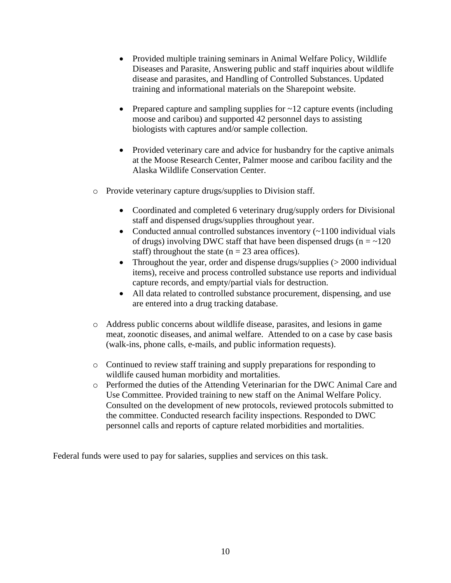- Provided multiple training seminars in Animal Welfare Policy, Wildlife Diseases and Parasite, Answering public and staff inquiries about wildlife disease and parasites, and Handling of Controlled Substances. Updated training and informational materials on the Sharepoint website.
- Prepared capture and sampling supplies for ~12 capture events (including moose and caribou) and supported 42 personnel days to assisting biologists with captures and/or sample collection.
- Provided veterinary care and advice for husbandry for the captive animals at the Moose Research Center, Palmer moose and caribou facility and the Alaska Wildlife Conservation Center.
- o Provide veterinary capture drugs/supplies to Division staff.
	- Coordinated and completed 6 veterinary drug/supply orders for Divisional staff and dispensed drugs/supplies throughout year.
	- Conducted annual controlled substances inventory (~1100 individual vials of drugs) involving DWC staff that have been dispensed drugs ( $n = -120$ staff) throughout the state ( $n = 23$  area offices).
	- Throughout the year, order and dispense drugs/supplies  $(> 2000$  individual items), receive and process controlled substance use reports and individual capture records, and empty/partial vials for destruction.
	- All data related to controlled substance procurement, dispensing, and use are entered into a drug tracking database.
- o Address public concerns about wildlife disease, parasites, and lesions in game meat, zoonotic diseases, and animal welfare. Attended to on a case by case basis (walk-ins, phone calls, e-mails, and public information requests).
- o Continued to review staff training and supply preparations for responding to wildlife caused human morbidity and mortalities.
- o Performed the duties of the Attending Veterinarian for the DWC Animal Care and Use Committee. Provided training to new staff on the Animal Welfare Policy. Consulted on the development of new protocols, reviewed protocols submitted to the committee. Conducted research facility inspections. Responded to DWC personnel calls and reports of capture related morbidities and mortalities.

Federal funds were used to pay for salaries, supplies and services on this task.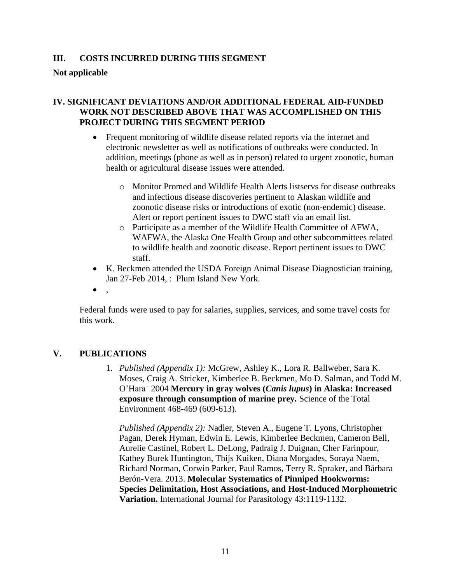## **III. COSTS INCURRED DURING THIS SEGMENT**

**Not applicable**

#### **IV. SIGNIFICANT DEVIATIONS AND/OR ADDITIONAL FEDERAL AID-FUNDED WORK NOT DESCRIBED ABOVE THAT WAS ACCOMPLISHED ON THIS PROJECT DURING THIS SEGMENT PERIOD**

- Frequent monitoring of wildlife disease related reports via the internet and electronic newsletter as well as notifications of outbreaks were conducted. In addition, meetings (phone as well as in person) related to urgent zoonotic, human health or agricultural disease issues were attended.
	- o Monitor Promed and Wildlife Health Alerts listservs for disease outbreaks and infectious disease discoveries pertinent to Alaskan wildlife and zoonotic disease risks or introductions of exotic (non-endemic) disease. Alert or report pertinent issues to DWC staff via an email list.
	- o Participate as a member of the Wildlife Health Committee of AFWA, WAFWA, the Alaska One Health Group and other subcommittees related to wildlife health and zoonotic disease. Report pertinent issues to DWC staff.
- K. Beckmen attended the USDA Foreign Animal Disease Diagnostician training, Jan 27-Feb 2014, : Plum Island New York.
- $\bullet$ ,

Federal funds were used to pay for salaries, supplies, services, and some travel costs for this work.

## **V. PUBLICATIONS**

1. *Published (Appendix 1):* McGrew, Ashley K., Lora R. Ballweber, Sara K. Moses, Craig A. Stricker, Kimberlee B. Beckmen, Mo D. Salman, and Todd M. O'Hara . 2004 **Mercury in gray wolves (***Canis lupus***) in Alaska: Increased exposure through consumption of marine prey.** Science of the Total Environment 468-469 (609-613).

*Published (Appendix 2):* Nadler, Steven A., Eugene T. Lyons, Christopher Pagan, Derek Hyman, Edwin E. Lewis, Kimberlee Beckmen, Cameron Bell, Aurelie Castinel, Robert L. DeLong, Padraig J. Duignan, Cher Farinpour, Kathey Burek Huntington, Thijs Kuiken, Diana Morgades, Soraya Naem, Richard Norman, Corwin Parker, Paul Ramos, Terry R. Spraker, and Bárbara Berón-Vera. 2013. **Molecular Systematics of Pinniped Hookworms: Species Delimitation, Host Associations, and Host-Induced Morphometric Variation.** International Journal for Parasitology 43:1119-1132.